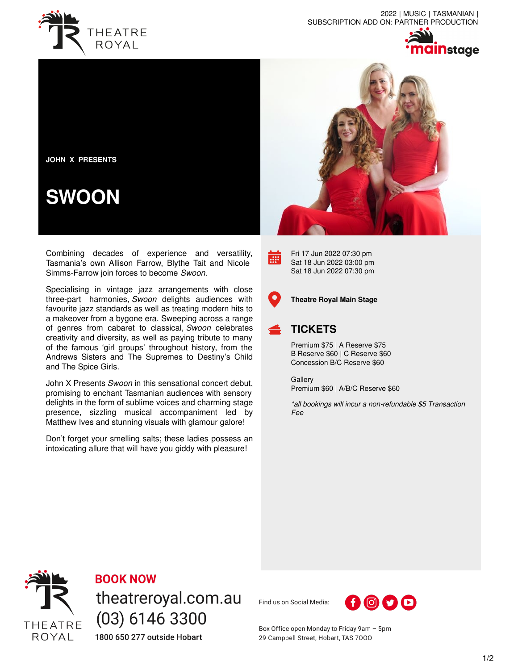

2022 | MUSIC | TASMANIAN | SUBSCRIPTION ADD ON: PARTNER PRODUCTION



**JOHN X PRESENTS**

## **SWOON**

Combining decades of experience and versatility, Tasmania's own Allison Farrow, Blythe Tait and Nicole Simms-Farrow join forces to become *Swoon.*

Specialising in vintage jazz arrangements with close three-part harmonies, *Swoon* delights audiences with favourite jazz standards as well as treating modern hits to a makeover from a bygone era. Sweeping across a range of genres from cabaret to classical, *Swoon* celebrates creativity and diversity, as well as paying tribute to many of the famous 'girl groups' throughout history, from the Andrews Sisters and The Supremes to Destiny's Child and The Spice Girls.

John X Presents *Swoon* in this sensational concert debut, promising to enchant Tasmanian audiences with sensory delights in the form of sublime voices and charming stage presence, sizzling musical accompaniment led by Matthew Ives and stunning visuals with glamour galore!

Don't forget your smelling salts; these ladies possess an intoxicating allure that will have you giddy with pleasure!



Fri 17 Jun 2022 07:30 pm Sat 18 Jun 2022 03:00 pm Sat 18 Jun 2022 07:30 pm



**EXI** 

**Theatre Royal Main Stage**

## **TICKETS**

Premium \$75 | A Reserve \$75 B Reserve \$60 | C Reserve \$60 Concession B/C Reserve \$60

**Gallery** Premium \$60 | A/B/C Reserve \$60

*\*all bookings will incur a non-refundable \$5 Transaction Fee*



**BOOK NOW** 

theatreroyal.com.au  $(03)$  6146 3300 1800 650 277 outside Hobart

Find us on Social Media:



Box Office open Monday to Friday 9am - 5pm 29 Campbell Street, Hobart, TAS 7000